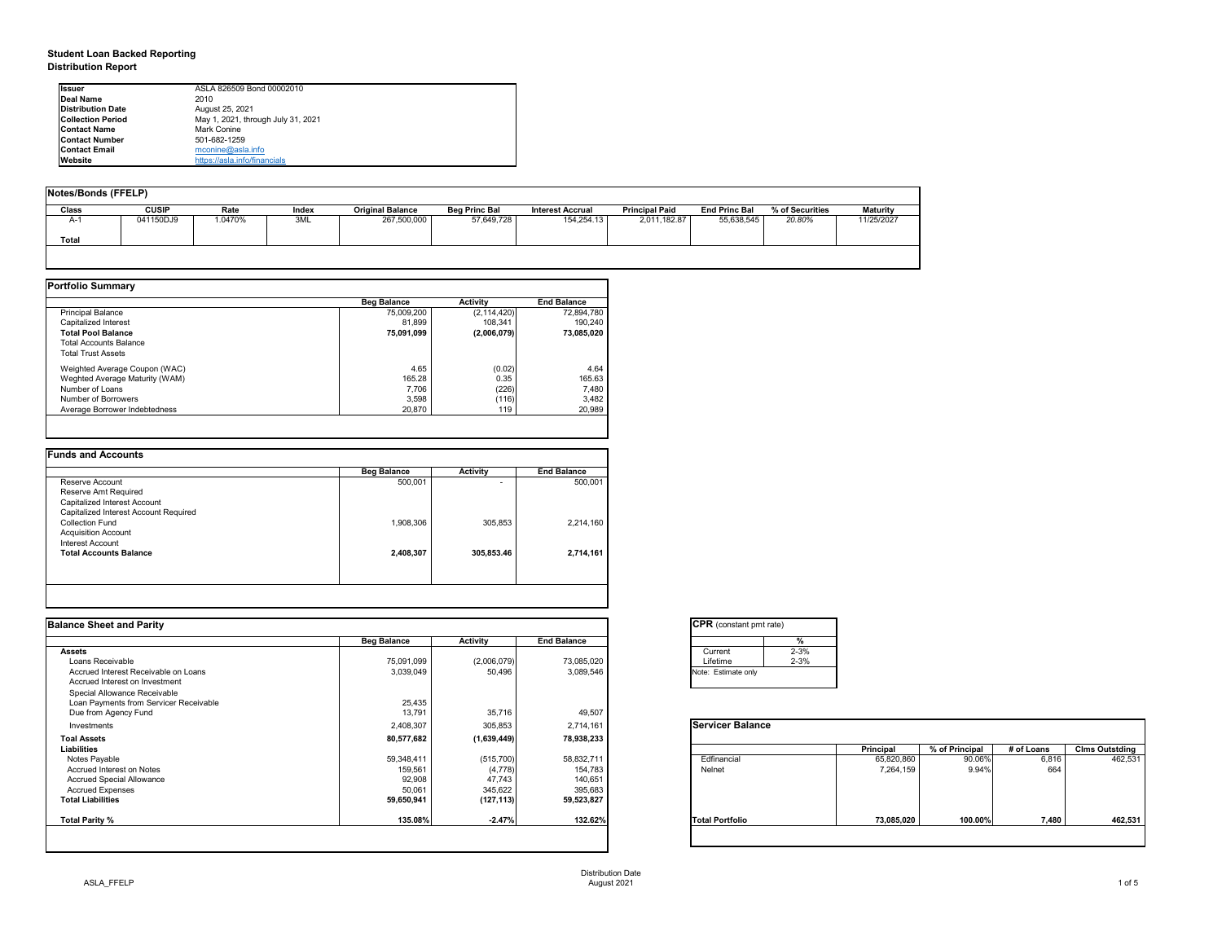### **Student Loan Backed Reporting**

**Distribution Report**

| <b>Issuer</b>            | ASLA 826509 Bond 00002010          |
|--------------------------|------------------------------------|
| Deal Name                | 2010                               |
| <b>Distribution Date</b> | August 25, 2021                    |
| <b>Collection Period</b> | May 1, 2021, through July 31, 2021 |
| <b>Contact Name</b>      | Mark Conine                        |
| <b>Contact Number</b>    | 501-682-1259                       |
| <b>Contact Email</b>     | mconine@asla.info                  |
| Website                  | https://asla.info/financials       |

| Notes/Bonds (FFELP) |              |         |       |                         |                      |                         |                       |                      |                 |            |
|---------------------|--------------|---------|-------|-------------------------|----------------------|-------------------------|-----------------------|----------------------|-----------------|------------|
| Class               | <b>CUSIP</b> | Rate    | Index | <b>Original Balance</b> | <b>Beg Princ Bal</b> | <b>Interest Accrual</b> | <b>Principal Paid</b> | <b>End Princ Bal</b> | % of Securities | Maturity   |
| $A-1$               | 041150DJ9    | 1.0470% | 3ML   | 267,500,000             | 57,649,728           | 154.254.13              | 2,011,182.87          | 55,638,545           | 20.80%          | 11/25/2027 |
| Total               |              |         |       |                         |                      |                         |                       |                      |                 |            |
|                     |              |         |       |                         |                      |                         |                       |                      |                 |            |

|                                | <b>Beg Balance</b> | <b>Activity</b> | <b>End Balance</b> |
|--------------------------------|--------------------|-----------------|--------------------|
| <b>Principal Balance</b>       | 75,009,200         | (2, 114, 420)   | 72.894.780         |
| Capitalized Interest           | 81.899             | 108.341         | 190.240            |
| <b>Total Pool Balance</b>      | 75,091,099         | (2,006,079)     | 73,085,020         |
| <b>Total Accounts Balance</b>  |                    |                 |                    |
| <b>Total Trust Assets</b>      |                    |                 |                    |
| Weighted Average Coupon (WAC)  | 4.65               | (0.02)          | 4.64               |
| Weghted Average Maturity (WAM) | 165.28             | 0.35            | 165.63             |
| Number of Loans                | 7.706              | (226)           | 7.480              |
| Number of Borrowers            | 3.598              | (116)           | 3.482              |
| Average Borrower Indebtedness  | 20,870             | 119             | 20,989             |

| $\overline{\phantom{0}}$ | 500,001   |
|--------------------------|-----------|
|                          |           |
|                          |           |
|                          |           |
|                          |           |
| 305,853                  | 2,214,160 |
|                          |           |
|                          |           |
| 305.853.46               | 2,714,161 |
|                          |           |
|                          | 1,908,306 |

| <b>Balance Sheet and Parity</b>        |                    |             |                    | <b>CPR</b> (constant pmt rate)       |                |            |                       |
|----------------------------------------|--------------------|-------------|--------------------|--------------------------------------|----------------|------------|-----------------------|
|                                        | <b>Beg Balance</b> | Activity    | <b>End Balance</b> | $\frac{9}{6}$                        |                |            |                       |
| <b>Assets</b>                          |                    |             |                    | $2 - 3%$<br>Current                  |                |            |                       |
| Loans Receivable                       | 75,091,099         | (2,006,079) | 73,085,020         | $2 - 3%$<br>Lifetime                 |                |            |                       |
| Accrued Interest Receivable on Loans   | 3,039,049          | 50,496      | 3,089,546          | Note: Estimate only                  |                |            |                       |
| Accrued Interest on Investment         |                    |             |                    |                                      |                |            |                       |
| Special Allowance Receivable           |                    |             |                    |                                      |                |            |                       |
| Loan Payments from Servicer Receivable | 25,435             |             |                    |                                      |                |            |                       |
| Due from Agency Fund                   | 13,791             | 35,716      | 49,507             |                                      |                |            |                       |
| Investments                            | 2,408,307          | 305,853     | 2,714,161          | <b>Servicer Balance</b>              |                |            |                       |
| <b>Toal Assets</b>                     | 80,577,682         | (1,639,449) | 78,938,233         |                                      |                |            |                       |
| Liabilities                            |                    |             |                    | Principal                            | % of Principal | # of Loans | <b>Clms Outstding</b> |
| Notes Payable                          | 59,348,411         | (515, 700)  | 58,832,711         | Edfinancial<br>65,820,860            | 90.06%         | 6,816      | 462,53                |
| Accrued Interest on Notes              | 159,561            | (4,778)     | 154,783            | Nelnet<br>7,264,159                  | 9.94%          | 664        |                       |
| <b>Accrued Special Allowance</b>       | 92,908             | 47,743      | 140,651            |                                      |                |            |                       |
| <b>Accrued Expenses</b>                | 50,061             | 345,622     | 395,683            |                                      |                |            |                       |
| <b>Total Liabilities</b>               | 59,650,941         | (127, 113)  | 59,523,827         |                                      |                |            |                       |
| Total Parity %                         | 135.08%            | $-2.47%$    | 132.62%            | <b>Total Portfolio</b><br>73,085,020 | 100.00%        | 7,480      | 462,53                |
|                                        |                    |             |                    |                                      |                |            |                       |

| <b>CPR</b> (constant pmt rate) |          |
|--------------------------------|----------|
|                                |          |
| Current                        | $2 - 3%$ |
| Lifetime                       | $2 - 3%$ |
| Note: Estimate only            |          |
|                                |          |

|                        | Principal  | % of Principal | # of Loans | <b>Clms Outstding</b> |
|------------------------|------------|----------------|------------|-----------------------|
| Edfinancial            | 65,820,860 | 90.06%         | 6,816      | 462,531               |
| Nelnet                 | 7,264,159  | 9.94%          | 664        |                       |
| <b>Total Portfolio</b> | 73,085,020 | 100.00%        | 7,480      | 462,531               |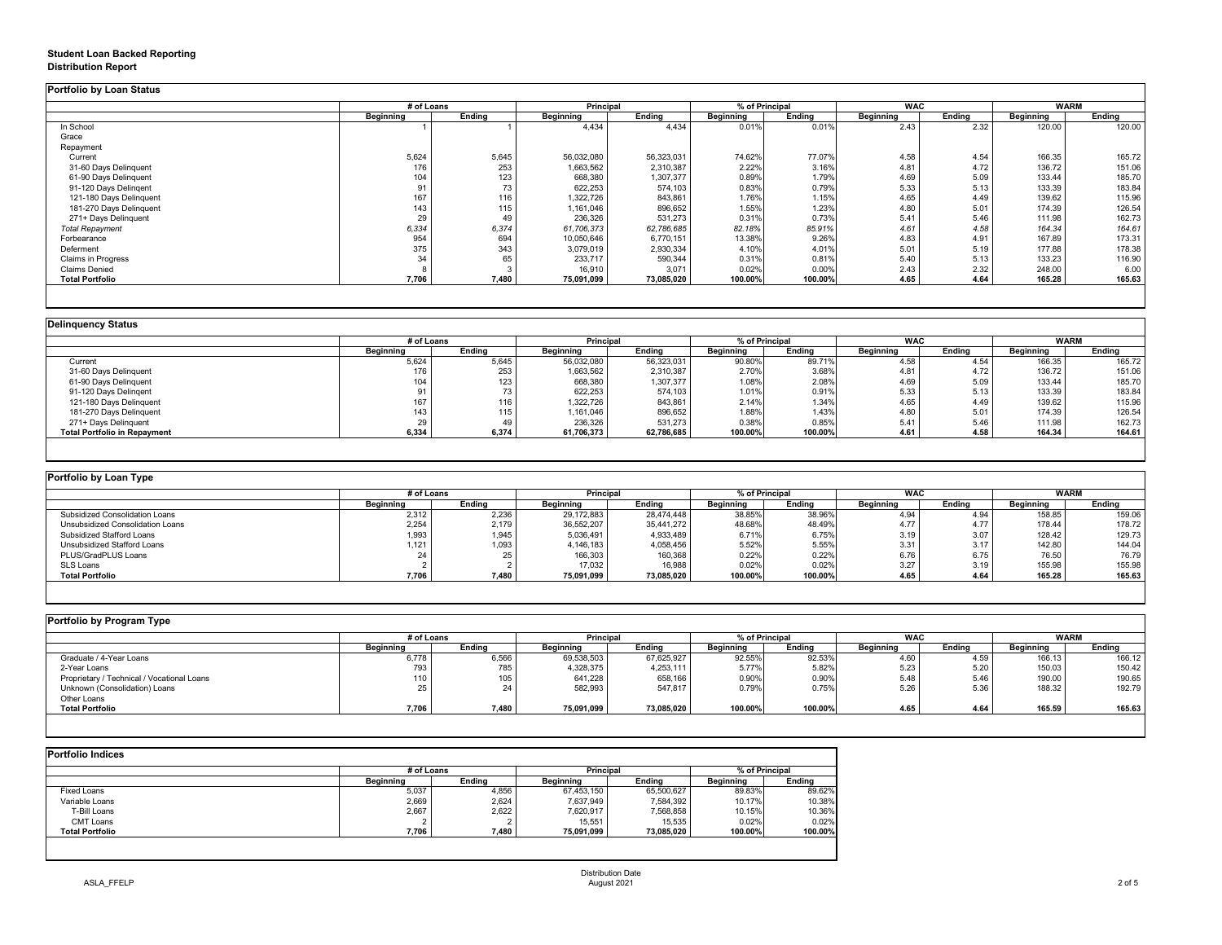### **Student Loan Backed Reporting**

#### **Distribution Report**

**Portfolio by Loan Status**

|                           | # of Loans |        | Principal  |            | % of Principal |         | <b>WAC</b> |        | <b>WARM</b> |        |
|---------------------------|------------|--------|------------|------------|----------------|---------|------------|--------|-------------|--------|
|                           | Beginning  | Endina | Beginning  | Ending     | Beginning      | Ending  | Beginning  | Ending | Beginning   | Ending |
| In School                 |            |        | 4,434      | 4,434      | 0.01%          | 0.01%   | 2.43       | 2.32   | 120.00      | 120.00 |
| Grace                     |            |        |            |            |                |         |            |        |             |        |
| Repayment                 |            |        |            |            |                |         |            |        |             |        |
| Current                   | 5,624      | 5,645  | 56,032,080 | 56,323,031 | 74.62%         | 77.07%  | 4.58       | 4.54   | 166.35      | 165.72 |
| 31-60 Days Delinquent     | 176        | 253    | 1,663,562  | 2,310,387  | 2.22%          | 3.16%   | 4.81       | 4.72   | 136.72      | 151.06 |
| 61-90 Days Delinquent     | 104        | 123    | 668,380    | 1,307,377  | 0.89%          | 1.79%   | 4.69       | 5.09   | 133.44      | 185.70 |
| 91-120 Days Delingent     | 91         | 73     | 622,253    | 574,103    | 0.83%          | 0.79%   | 5.33       | 5.13   | 133.39      | 183.84 |
| 121-180 Days Delinquent   | 167        | 116    | 1,322,726  | 843,861    | 1.76%          | 1.15%   | 4.65       | 4.49   | 139.62      | 115.96 |
| 181-270 Days Delinquent   | 143        | 115    | 1,161,046  | 896,652    | 1.55%          | 1.23%   | 4.80       | 5.01   | 174.39      | 126.54 |
| 271+ Days Delinquent      | 29         | 49     | 236,326    | 531,273    | 0.31%          | 0.73%   | 5.41       | 5.46   | 111.98      | 162.73 |
| <b>Total Repayment</b>    | 6,334      | 6,374  | 61,706,373 | 62,786,685 | 82.18%         | 85.91%  | 4.61       | 4.58   | 164.34      | 164.61 |
| Forbearance               | 954        | 694    | 10,050,646 | 6,770,151  | 13.38%         | 9.26%   | 4.83       | 4.91   | 167.89      | 173.31 |
| Deferment                 | 375        | 343    | 3,079,019  | 2,930,334  | 4.10%          | 4.01%   | 5.01       | 5.19   | 177.88      | 178.38 |
| <b>Claims in Progress</b> | 34         | 65     | 233.717    | 590,344    | 0.31%          | 0.81%   | 5.40       | 5.13   | 133.23      | 116.90 |
| <b>Claims Denied</b>      |            |        | 16,910     | 3.071      | 0.02%          | 0.00%   | 2.43       | 2.32   | 248.00      | 6.00   |
| <b>Total Portfolio</b>    | 7,706      | 7.480  | 75,091,099 | 73,085,020 | 100.00%        | 100.00% | 4.65       | 4.64   | 165.28      | 165.63 |

| <b>Delinguency Status</b>           |                  |            |            |                                    |                  |         |            |        |                  |        |
|-------------------------------------|------------------|------------|------------|------------------------------------|------------------|---------|------------|--------|------------------|--------|
|                                     |                  | # of Loans |            | % of Principal<br><b>Principal</b> |                  |         | <b>WAC</b> |        | <b>WARM</b>      |        |
|                                     | <b>Beginning</b> | Endina     | Beginning  | Endina                             | <b>Beginning</b> | Endina  | Beginning  | Endina | <b>Beginning</b> | Endina |
| Current                             | 5.624            | 5,645      | 56,032,080 | 56,323,031                         | 90.80%           | 89.71%  | 4.58       | 4.54   | 166.35           | 165.72 |
| 31-60 Days Delinquent               | 176              | 253        | 1,663,562  | 2,310,387                          | 2.70%            | 3.68%   | 4.81       | 4.72   | 136.72           | 151.06 |
| 61-90 Days Delinquent               | 104              | 123        | 668,380    | 1,307,377                          | 1.08%            | 2.08%   | 4.69       | 5.09   | 133.44           | 185.70 |
| 91-120 Days Delingent               |                  |            | 622,253    | 574,103                            | 1.01%            | 0.91%   | 5.33       | 5.13   | 133.39           | 183.84 |
| 121-180 Days Delinquent             | 167              | 116        | 1,322,726  | 843,861                            | 2.14%            | 1.34%   | 4.65       | 4.49   | 139.62           | 115.96 |
| 181-270 Days Delinquent             | 143              | 115        | 1,161,046  | 896,652                            | 1.88%            | 1.43%   | 4.80       | 5.01   | 174.39           | 126.54 |
| 271+ Days Delinquent                | 29               |            | 236,326    | 531,273                            | 0.38%            | 0.85%   | 5.41       | 5.46   | 111.98           | 162.73 |
| <b>Total Portfolio in Repayment</b> | 6,334            | 6.374      | 61,706,373 | 62,786,685                         | 100.00%          | 100.00% | 4.61       | 4.58   | 164.34           | 164.61 |
|                                     |                  |            |            |                                    |                  |         |            |        |                  |        |

| Portfolio by Loan Type           |                  |        |                  |            |                  |                |            |        |             |        |
|----------------------------------|------------------|--------|------------------|------------|------------------|----------------|------------|--------|-------------|--------|
|                                  | # of Loans       |        | Principal        |            |                  | % of Principal | <b>WAC</b> |        | <b>WARM</b> |        |
|                                  | <b>Beainning</b> | Endina | <b>Beainning</b> | Endina     | <b>Beainning</b> | Endina         | Beainnina  | Endina | Beginning   | Endina |
| Subsidized Consolidation Loans   | 2.312            | 2,236  | 29,172,883       | 28,474,448 | 38.85%           | 38.96%         | 4.94       | 4.94   | 158.85      | 159.06 |
| Unsubsidized Consolidation Loans | 2,254            | 2,179  | 36,552,207       | 35,441,272 | 48.68%           | 48.49%         | 4.77       | 4.77   | 178.44      | 178.72 |
| Subsidized Stafford Loans        | 1,993            | 1.945  | 5,036,491        | 4,933,489  | 6.71%            | 6.75%          | 3.19       | 3.07   | 128.42      | 129.73 |
| Unsubsidized Stafford Loans      | $1.121$ .        | 1,093  | 4,146,183        | 4,058,456  | 5.52%            | 5.55%          | 3.31       | 3.17   | 142.80      | 144.04 |
| PLUS/GradPLUS Loans              |                  |        | 166,303          | 160,368    | 0.22%            | 0.22%          | 6.76       | 6.75   | 76.50       | 76.79  |
| SLS Loans                        |                  |        | 17,032           | 16,988     | 0.02%            | 0.02%          | 3.27       | 3.19   | 155.98      | 155.98 |
| <b>Total Portfolio</b>           | 7,706            | 7,480  | 75,091,099       | 73,085,020 | 100.00%          | 100.00%        | 4.65       | 4.64   | 165.28      | 165.63 |

| Portfolio by Program Type                  |                  |        |                             |            |           |            |                  |             |                  |        |
|--------------------------------------------|------------------|--------|-----------------------------|------------|-----------|------------|------------------|-------------|------------------|--------|
|                                            | # of Loans       |        | Principal<br>% of Principal |            |           | <b>WAC</b> |                  | <b>WARM</b> |                  |        |
|                                            | <b>Beginning</b> | Ending | <b>Beginning</b>            | Ending     | Beginning | Ending     | <b>Beginning</b> | Endina      | <b>Beginning</b> | Ending |
| Graduate / 4-Year Loans                    | 6,778            | 6,566  | 69,538,503                  | 67,625,927 | 92.55%    | 92.53%     | 4.60             | 4.5S        | 166.13           | 166.12 |
| 2-Year Loans                               | 793              | 785    | 4,328,375                   | 4,253,111  | 5.77%     | 5.82%      | 5.23             | 5.2C        | 150.03           | 150.42 |
| Proprietary / Technical / Vocational Loans |                  | 105    | 641,228                     | 658,166    | 0.90%     | 0.90%      | 5.48             | 5.46        | 190.00           | 190.65 |
| Unknown (Consolidation) Loans              |                  | 24     | 582.993                     | 547.817    | 0.79%     | 0.75%      | 5.26             | 5.36        | 188.32           | 192.79 |
| Other Loans                                |                  |        |                             |            |           |            |                  |             |                  |        |
| <b>Total Portfolio</b>                     | 7,706            | 7,480  | 75,091,099                  | 73,085,020 | 100.00%   | 100.00%    | 4.65             | 4.64        | 165.59           | 165.63 |
|                                            |                  |        |                             |            |           |            |                  |             |                  |        |

| <b>Portfolio Indices</b> |            |        |                  |            |                  |         |  |
|--------------------------|------------|--------|------------------|------------|------------------|---------|--|
|                          | # of Loans |        | <b>Principal</b> |            | % of Principal   |         |  |
|                          | Beginning  | Endina | <b>Beginning</b> | Endina     | <b>Beainning</b> | Endina  |  |
| <b>Fixed Loans</b>       | 5,037      | 4,856  | 67.453.150       | 65.500.627 | 89.83%           | 89.62%  |  |
| Variable Loans           | 2,669      | 2,624  | 7,637,949        | 7,584,392  | 10.17%           | 10.38%  |  |
| T-Bill Loans             | 2,667      | 2,622  | 7,620,917        | 7,568,858  | 10.15%           | 10.36%  |  |
| CMT Loans                |            |        | 15.551           | 15.535     | 0.02%            | 0.02%   |  |
| <b>Total Portfolio</b>   | 7,706      | 7,480  | 75,091,099       | 73,085,020 | 100.00%          | 100.00% |  |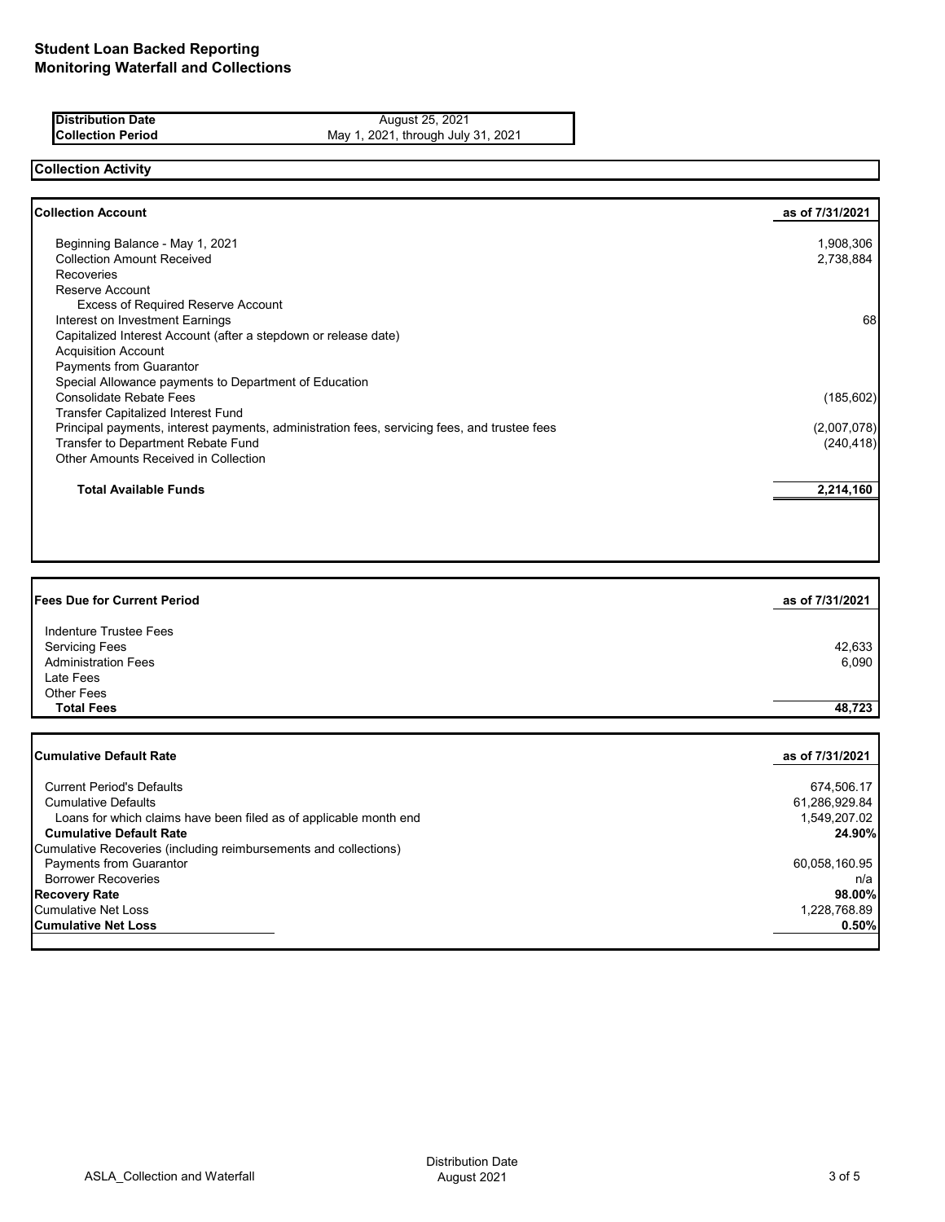| <b>IDistribution Date</b> | August 25, 2021                    |
|---------------------------|------------------------------------|
| <b>Collection Period</b>  | May 1, 2021, through July 31, 2021 |
|                           |                                    |

### **Collection Activity**

| 1,908,306<br>2,738,884 |
|------------------------|
|                        |
|                        |
|                        |
|                        |
|                        |
| 68                     |
|                        |
|                        |
|                        |
|                        |
| (185, 602)             |
|                        |
| (2,007,078)            |
| (240, 418)             |
|                        |
| 2,214,160              |
|                        |

| Fees Due for Current Period                                       | as of 7/31/2021 |
|-------------------------------------------------------------------|-----------------|
|                                                                   |                 |
| Indenture Trustee Fees                                            |                 |
| <b>Servicing Fees</b>                                             | 42,633          |
| <b>Administration Fees</b>                                        | 6,090           |
| Late Fees                                                         |                 |
| <b>Other Fees</b>                                                 |                 |
| <b>Total Fees</b>                                                 | 48,723          |
|                                                                   |                 |
|                                                                   |                 |
| <b>Cumulative Default Rate</b>                                    | as of 7/31/2021 |
| <b>Current Period's Defaults</b>                                  |                 |
| <b>Cumulative Defaults</b>                                        | 674,506.17      |
|                                                                   | 61,286,929.84   |
| Loans for which claims have been filed as of applicable month end | 1,549,207.02    |
| <b>Cumulative Default Rate</b>                                    | 24.90%          |
| Cumulative Recoveries (including reimbursements and collections)  |                 |
| Payments from Guarantor                                           | 60,058,160.95   |
| <b>Borrower Recoveries</b>                                        | n/a             |
| <b>Recovery Rate</b>                                              | 98.00%          |
| <b>Cumulative Net Loss</b>                                        | 1,228,768.89    |
| <b>Cumulative Net Loss</b>                                        | 0.50%           |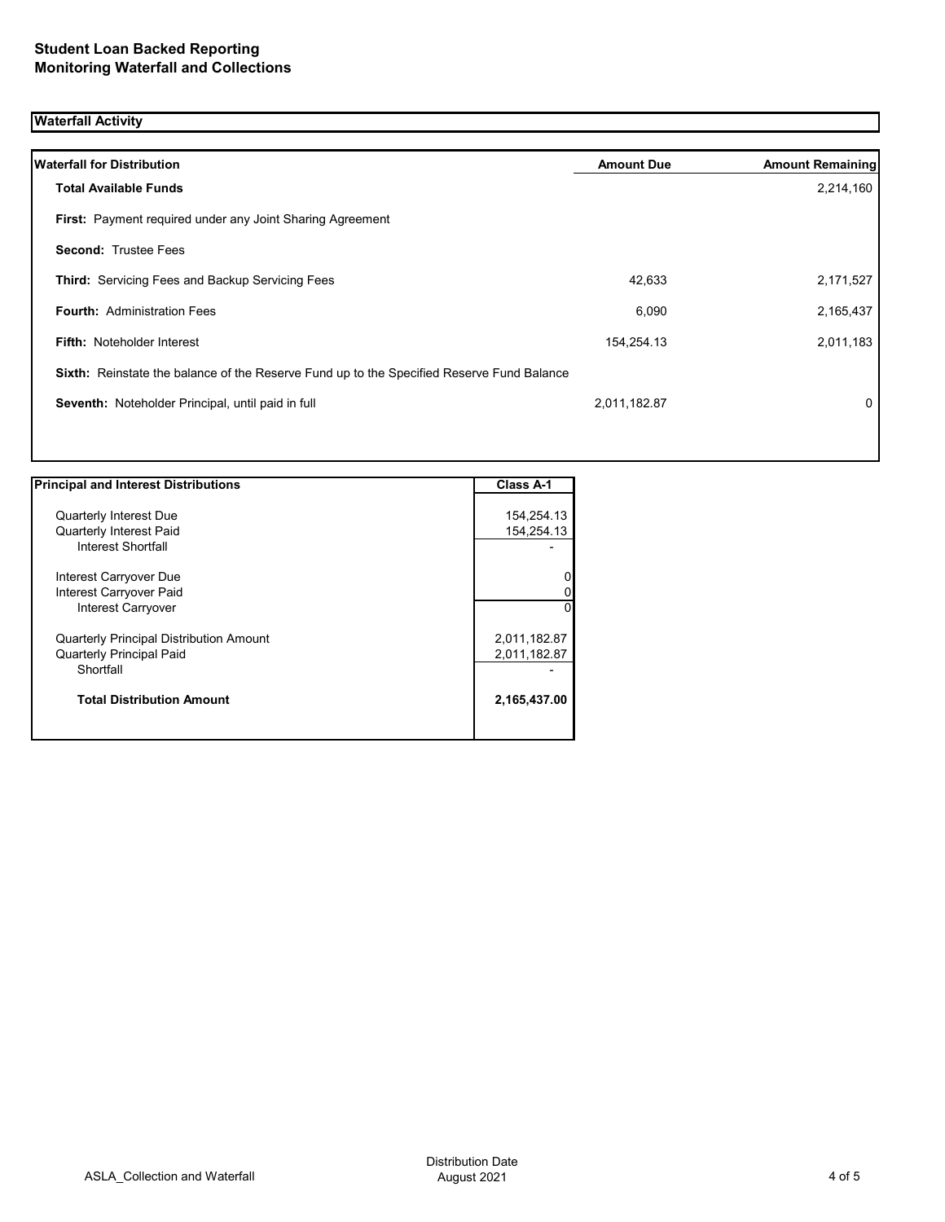# **Waterfall Activity**

| <b>Waterfall for Distribution</b>                                                                | <b>Amount Due</b> | <b>Amount Remaining</b> |
|--------------------------------------------------------------------------------------------------|-------------------|-------------------------|
| <b>Total Available Funds</b>                                                                     |                   | 2,214,160               |
| <b>First:</b> Payment required under any Joint Sharing Agreement                                 |                   |                         |
| <b>Second: Trustee Fees</b>                                                                      |                   |                         |
| <b>Third:</b> Servicing Fees and Backup Servicing Fees                                           | 42,633            | 2,171,527               |
| <b>Fourth: Administration Fees</b>                                                               | 6,090             | 2,165,437               |
| <b>Fifth: Noteholder Interest</b>                                                                | 154,254.13        | 2,011,183               |
| <b>Sixth:</b> Reinstate the balance of the Reserve Fund up to the Specified Reserve Fund Balance |                   |                         |
| Seventh: Noteholder Principal, until paid in full                                                | 2,011,182.87      | 0                       |
|                                                                                                  |                   |                         |

| <b>Principal and Interest Distributions</b>    | Class A-1    |
|------------------------------------------------|--------------|
|                                                |              |
| Quarterly Interest Due                         | 154,254.13   |
| <b>Quarterly Interest Paid</b>                 | 154,254.13   |
| Interest Shortfall                             |              |
| Interest Carryover Due                         |              |
|                                                |              |
| Interest Carryover Paid                        |              |
| <b>Interest Carryover</b>                      | 0            |
| <b>Quarterly Principal Distribution Amount</b> | 2,011,182.87 |
| <b>Quarterly Principal Paid</b>                | 2,011,182.87 |
| Shortfall                                      |              |
| <b>Total Distribution Amount</b>               | 2,165,437.00 |
|                                                |              |